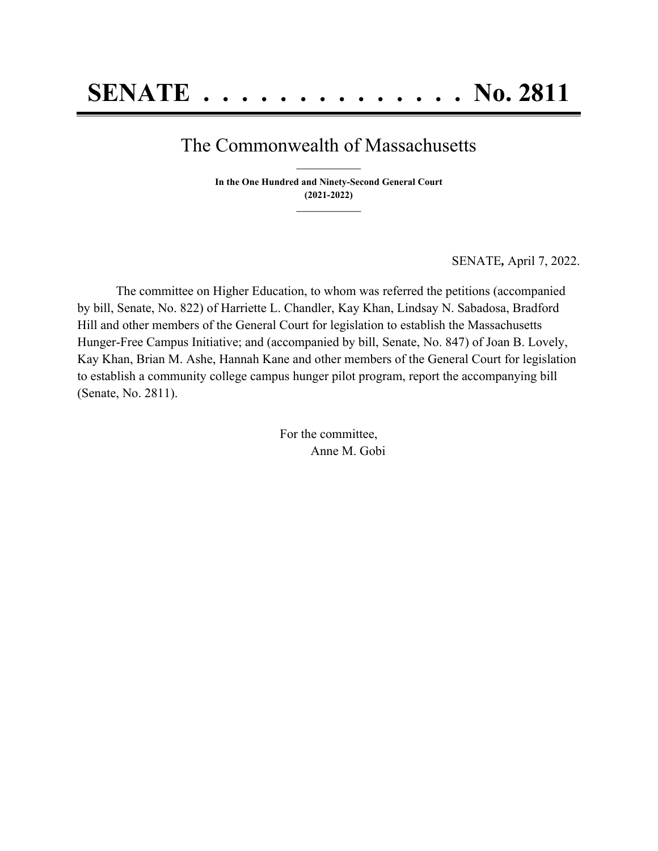## The Commonwealth of Massachusetts **\_\_\_\_\_\_\_\_\_\_\_\_\_\_\_**

**In the One Hundred and Ninety-Second General Court (2021-2022) \_\_\_\_\_\_\_\_\_\_\_\_\_\_\_**

SENATE*,* April 7, 2022.

The committee on Higher Education, to whom was referred the petitions (accompanied by bill, Senate, No. 822) of Harriette L. Chandler, Kay Khan, Lindsay N. Sabadosa, Bradford Hill and other members of the General Court for legislation to establish the Massachusetts Hunger-Free Campus Initiative; and (accompanied by bill, Senate, No. 847) of Joan B. Lovely, Kay Khan, Brian M. Ashe, Hannah Kane and other members of the General Court for legislation to establish a community college campus hunger pilot program, report the accompanying bill (Senate, No. 2811).

> For the committee, Anne M. Gobi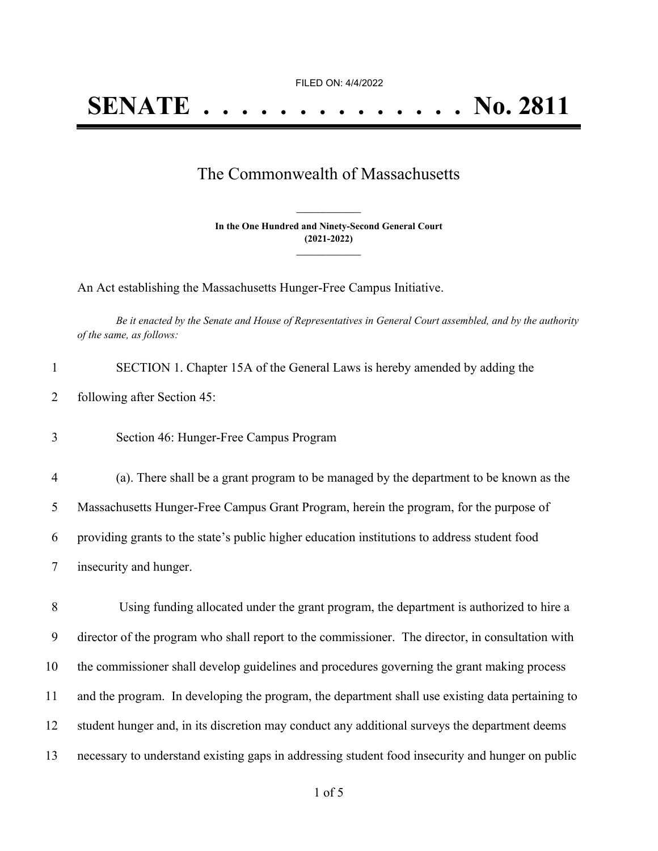FILED ON: 4/4/2022

## The Commonwealth of Massachusetts

**In the One Hundred and Ninety-Second General Court (2021-2022) \_\_\_\_\_\_\_\_\_\_\_\_\_\_\_**

**\_\_\_\_\_\_\_\_\_\_\_\_\_\_\_**

An Act establishing the Massachusetts Hunger-Free Campus Initiative.

Be it enacted by the Senate and House of Representatives in General Court assembled, and by the authority *of the same, as follows:*

| SECTION 1. Chapter 15A of the General Laws is hereby amended by adding the |
|----------------------------------------------------------------------------|
| 2 following after Section 45:                                              |

3 Section 46: Hunger-Free Campus Program

 (a). There shall be a grant program to be managed by the department to be known as the Massachusetts Hunger-Free Campus Grant Program, herein the program, for the purpose of providing grants to the state's public higher education institutions to address student food insecurity and hunger.

 Using funding allocated under the grant program, the department is authorized to hire a director of the program who shall report to the commissioner. The director, in consultation with the commissioner shall develop guidelines and procedures governing the grant making process and the program. In developing the program, the department shall use existing data pertaining to student hunger and, in its discretion may conduct any additional surveys the department deems necessary to understand existing gaps in addressing student food insecurity and hunger on public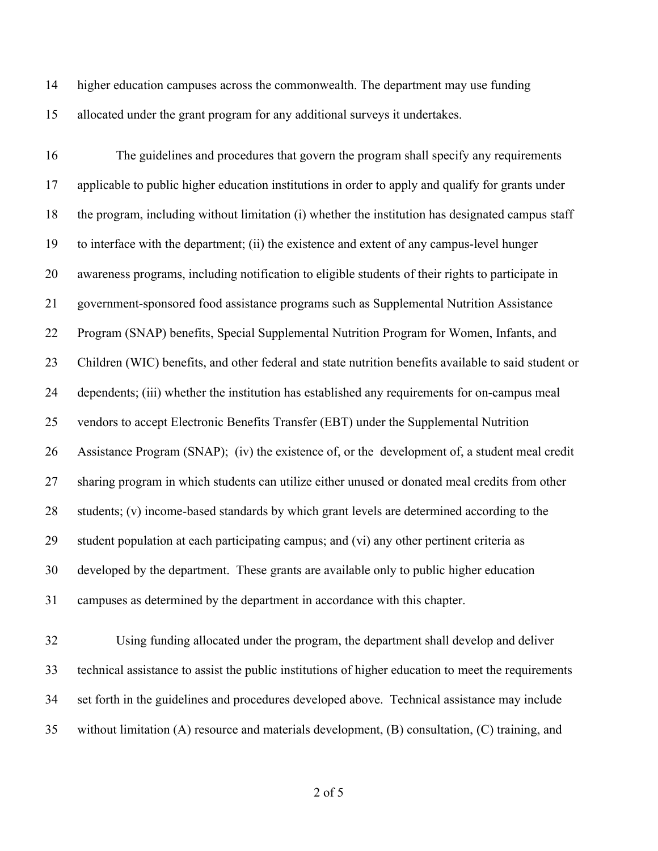higher education campuses across the commonwealth. The department may use funding allocated under the grant program for any additional surveys it undertakes.

 The guidelines and procedures that govern the program shall specify any requirements applicable to public higher education institutions in order to apply and qualify for grants under the program, including without limitation (i) whether the institution has designated campus staff to interface with the department; (ii) the existence and extent of any campus-level hunger awareness programs, including notification to eligible students of their rights to participate in government-sponsored food assistance programs such as Supplemental Nutrition Assistance Program (SNAP) benefits, Special Supplemental Nutrition Program for Women, Infants, and Children (WIC) benefits, and other federal and state nutrition benefits available to said student or dependents; (iii) whether the institution has established any requirements for on-campus meal vendors to accept Electronic Benefits Transfer (EBT) under the Supplemental Nutrition Assistance Program (SNAP); (iv) the existence of, or the development of, a student meal credit sharing program in which students can utilize either unused or donated meal credits from other students; (v) income-based standards by which grant levels are determined according to the student population at each participating campus; and (vi) any other pertinent criteria as developed by the department. These grants are available only to public higher education campuses as determined by the department in accordance with this chapter.

 Using funding allocated under the program, the department shall develop and deliver technical assistance to assist the public institutions of higher education to meet the requirements set forth in the guidelines and procedures developed above. Technical assistance may include without limitation (A) resource and materials development, (B) consultation, (C) training, and

of 5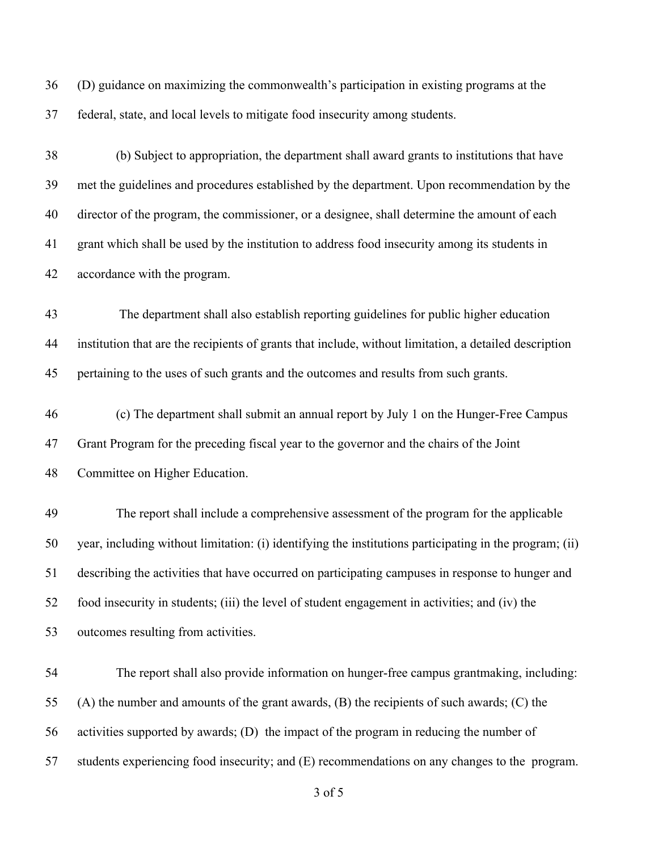(D) guidance on maximizing the commonwealth's participation in existing programs at the federal, state, and local levels to mitigate food insecurity among students.

 (b) Subject to appropriation, the department shall award grants to institutions that have met the guidelines and procedures established by the department. Upon recommendation by the director of the program, the commissioner, or a designee, shall determine the amount of each grant which shall be used by the institution to address food insecurity among its students in accordance with the program.

 The department shall also establish reporting guidelines for public higher education institution that are the recipients of grants that include, without limitation, a detailed description pertaining to the uses of such grants and the outcomes and results from such grants.

 (c) The department shall submit an annual report by July 1 on the Hunger-Free Campus Grant Program for the preceding fiscal year to the governor and the chairs of the Joint Committee on Higher Education.

 The report shall include a comprehensive assessment of the program for the applicable year, including without limitation: (i) identifying the institutions participating in the program; (ii) describing the activities that have occurred on participating campuses in response to hunger and food insecurity in students; (iii) the level of student engagement in activities; and (iv) the outcomes resulting from activities.

 The report shall also provide information on hunger-free campus grantmaking, including: (A) the number and amounts of the grant awards, (B) the recipients of such awards; (C) the activities supported by awards; (D) the impact of the program in reducing the number of students experiencing food insecurity; and (E) recommendations on any changes to the program.

of 5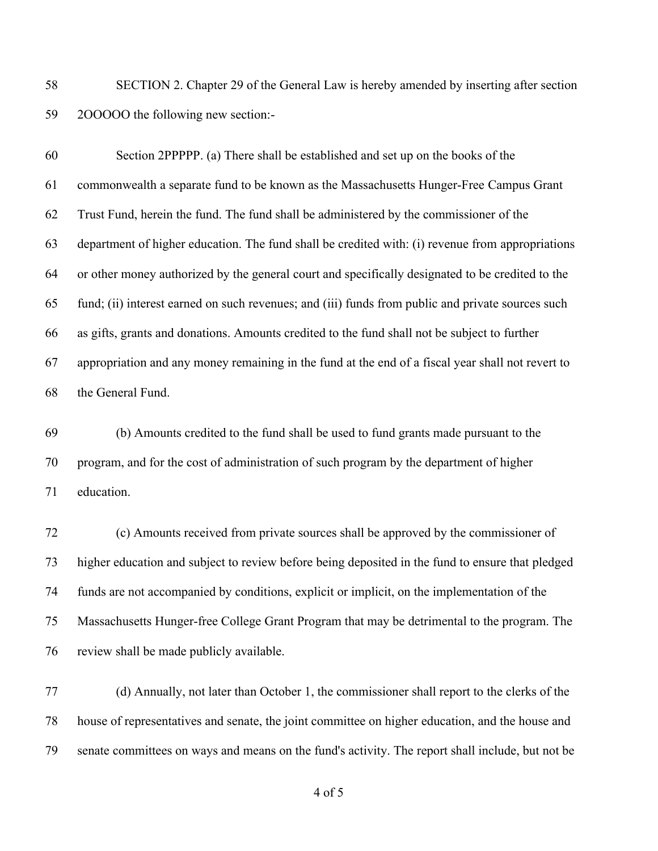SECTION 2. Chapter 29 of the General Law is hereby amended by inserting after section 2OOOOO the following new section:-

 Section 2PPPPP. (a) There shall be established and set up on the books of the commonwealth a separate fund to be known as the Massachusetts Hunger-Free Campus Grant Trust Fund, herein the fund. The fund shall be administered by the commissioner of the department of higher education. The fund shall be credited with: (i) revenue from appropriations or other money authorized by the general court and specifically designated to be credited to the fund; (ii) interest earned on such revenues; and (iii) funds from public and private sources such as gifts, grants and donations. Amounts credited to the fund shall not be subject to further appropriation and any money remaining in the fund at the end of a fiscal year shall not revert to the General Fund.

 (b) Amounts credited to the fund shall be used to fund grants made pursuant to the program, and for the cost of administration of such program by the department of higher education.

 (c) Amounts received from private sources shall be approved by the commissioner of higher education and subject to review before being deposited in the fund to ensure that pledged funds are not accompanied by conditions, explicit or implicit, on the implementation of the Massachusetts Hunger-free College Grant Program that may be detrimental to the program. The review shall be made publicly available.

 (d) Annually, not later than October 1, the commissioner shall report to the clerks of the house of representatives and senate, the joint committee on higher education, and the house and senate committees on ways and means on the fund's activity. The report shall include, but not be

of 5